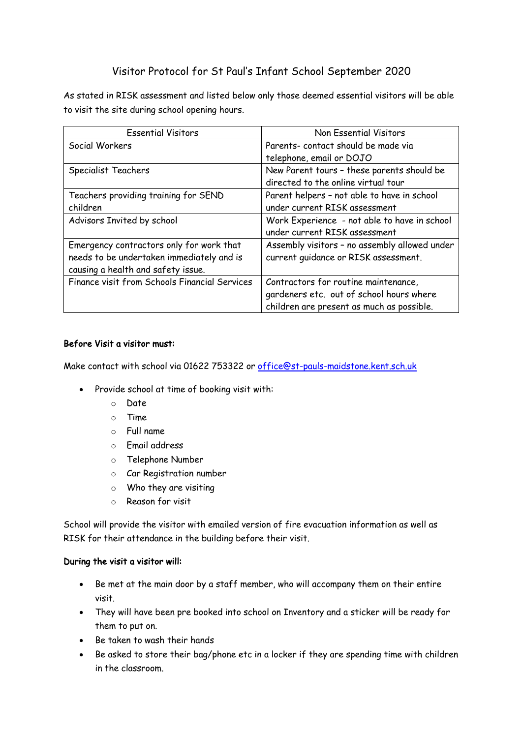## Visitor Protocol for St Paul's Infant School September 2020

As stated in RISK assessment and listed below only those deemed essential visitors will be able to visit the site during school opening hours.

| <b>Essential Visitors</b>                     | Non Essential Visitors                        |
|-----------------------------------------------|-----------------------------------------------|
| Social Workers                                | Parents-contact should be made via            |
|                                               | telephone, email or DOJO                      |
| Specialist Teachers                           | New Parent tours - these parents should be    |
|                                               | directed to the online virtual tour           |
| Teachers providing training for SEND          | Parent helpers - not able to have in school   |
| children                                      | under current RISK assessment                 |
| Advisors Invited by school                    | Work Experience - not able to have in school  |
|                                               | under current RISK assessment                 |
| Emergency contractors only for work that      | Assembly visitors - no assembly allowed under |
| needs to be undertaken immediately and is     | current quidance or RISK assessment.          |
| causing a health and safety issue.            |                                               |
| Finance visit from Schools Financial Services | Contractors for routine maintenance,          |
|                                               | gardeners etc. out of school hours where      |
|                                               | children are present as much as possible.     |

## Before Visit a visitor must:

Make contact with school via 01622 753322 or office@st-pauls-maidstone.kent.sch.uk

- Provide school at time of booking visit with:
	- o Date
	- o Time
	- o Full name
	- o Email address
	- o Telephone Number
	- o Car Registration number
	- o Who they are visiting
	- o Reason for visit

School will provide the visitor with emailed version of fire evacuation information as well as RISK for their attendance in the building before their visit.

## During the visit a visitor will:

- Be met at the main door by a staff member, who will accompany them on their entire visit.
- They will have been pre booked into school on Inventory and a sticker will be ready for them to put on.
- Be taken to wash their hands
- Be asked to store their bag/phone etc in a locker if they are spending time with children in the classroom.